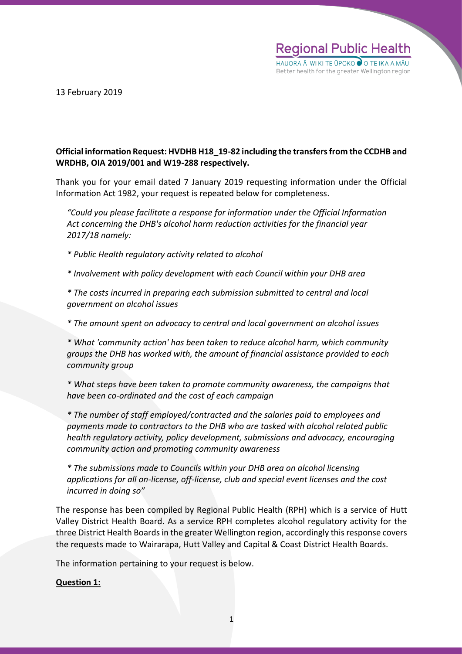

13 February 2019

# **Official information Request: HVDHB H18\_19-82 including the transfers from the CCDHB and WRDHB, OIA 2019/001 and W19-288 respectively.**

Thank you for your email dated 7 January 2019 requesting information under the Official Information Act 1982, your request is repeated below for completeness.

*"Could you please facilitate a response for information under the Official Information Act concerning the DHB's alcohol harm reduction activities for the financial year 2017/18 namely:*

*\* Public Health regulatory activity related to alcohol*

*\* Involvement with policy development with each Council within your DHB area*

*\* The costs incurred in preparing each submission submitted to central and local government on alcohol issues*

*\* The amount spent on advocacy to central and local government on alcohol issues*

*\* What 'community action' has been taken to reduce alcohol harm, which community groups the DHB has worked with, the amount of financial assistance provided to each community group*

*\* What steps have been taken to promote community awareness, the campaigns that have been co-ordinated and the cost of each campaign*

*\* The number of staff employed/contracted and the salaries paid to employees and payments made to contractors to the DHB who are tasked with alcohol related public health regulatory activity, policy development, submissions and advocacy, encouraging community action and promoting community awareness*

*\* The submissions made to Councils within your DHB area on alcohol licensing applications for all on-license, off-license, club and special event licenses and the cost incurred in doing so"*

The response has been compiled by Regional Public Health (RPH) which is a service of Hutt Valley District Health Board. As a service RPH completes alcohol regulatory activity for the three District Health Boards in the greater Wellington region, accordingly this response covers the requests made to Wairarapa, Hutt Valley and Capital & Coast District Health Boards.

The information pertaining to your request is below.

## **Question 1:**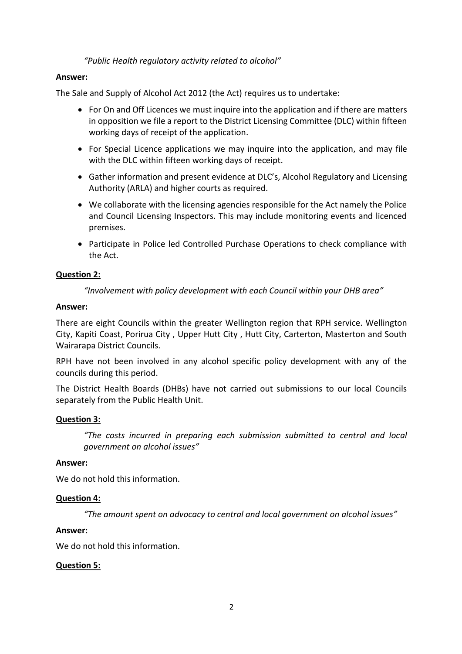*"Public Health regulatory activity related to alcohol"*

### **Answer:**

The Sale and Supply of Alcohol Act 2012 (the Act) requires us to undertake:

- For On and Off Licences we must inquire into the application and if there are matters in opposition we file a report to the District Licensing Committee (DLC) within fifteen working days of receipt of the application.
- For Special Licence applications we may inquire into the application, and may file with the DLC within fifteen working days of receipt.
- Gather information and present evidence at DLC's, Alcohol Regulatory and Licensing Authority (ARLA) and higher courts as required.
- We collaborate with the licensing agencies responsible for the Act namely the Police and Council Licensing Inspectors. This may include monitoring events and licenced premises.
- Participate in Police led Controlled Purchase Operations to check compliance with the Act.

## **Question 2:**

*"Involvement with policy development with each Council within your DHB area"*

### **Answer:**

There are eight Councils within the greater Wellington region that RPH service. Wellington City, Kapiti Coast, Porirua City , Upper Hutt City , Hutt City, Carterton, Masterton and South Wairarapa District Councils.

RPH have not been involved in any alcohol specific policy development with any of the councils during this period.

The District Health Boards (DHBs) have not carried out submissions to our local Councils separately from the Public Health Unit.

## **Question 3:**

*"The costs incurred in preparing each submission submitted to central and local government on alcohol issues"*

### **Answer:**

We do not hold this information.

### **Question 4:**

*"The amount spent on advocacy to central and local government on alcohol issues"*

### **Answer:**

We do not hold this information.

### **Question 5:**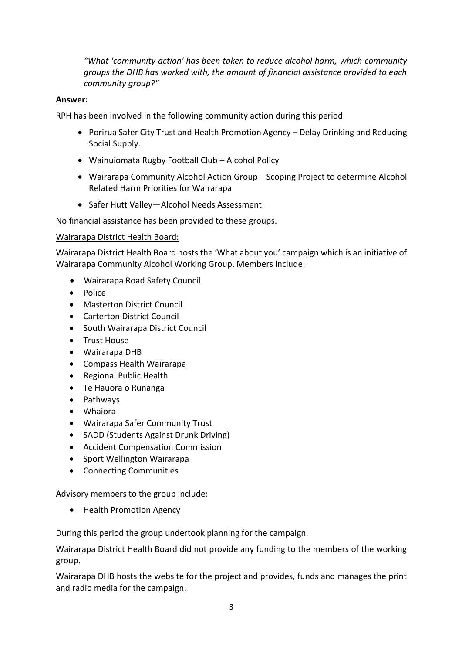*"What 'community action' has been taken to reduce alcohol harm, which community groups the DHB has worked with, the amount of financial assistance provided to each community group?"*

## **Answer:**

RPH has been involved in the following community action during this period.

- Porirua Safer City Trust and Health Promotion Agency Delay Drinking and Reducing Social Supply.
- Wainuiomata Rugby Football Club Alcohol Policy
- Wairarapa Community Alcohol Action Group—Scoping Project to determine Alcohol Related Harm Priorities for Wairarapa
- Safer Hutt Valley—Alcohol Needs Assessment.

No financial assistance has been provided to these groups.

## Wairarapa District Health Board:

Wairarapa District Health Board hosts the 'What about you' campaign which is an initiative of Wairarapa Community Alcohol Working Group. Members include:

- Wairarapa Road Safety Council
- Police
- Masterton District Council
- Carterton District Council
- South Wairarapa District Council
- Trust House
- Wairarapa DHB
- Compass Health Wairarapa
- Regional Public Health
- Te Hauora o Runanga
- Pathways
- Whaiora
- Wairarapa Safer Community Trust
- SADD (Students Against Drunk Driving)
- Accident Compensation Commission
- Sport Wellington Wairarapa
- Connecting Communities

Advisory members to the group include:

• Health Promotion Agency

During this period the group undertook planning for the campaign.

Wairarapa District Health Board did not provide any funding to the members of the working group.

Wairarapa DHB hosts the website for the project and provides, funds and manages the print and radio media for the campaign.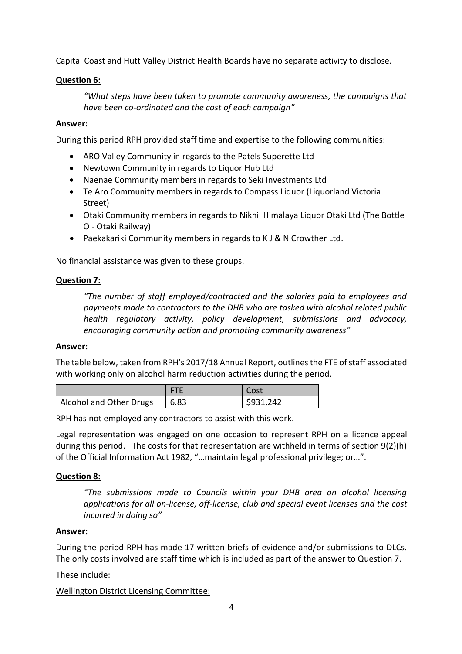Capital Coast and Hutt Valley District Health Boards have no separate activity to disclose.

# **Question 6:**

*"What steps have been taken to promote community awareness, the campaigns that have been co-ordinated and the cost of each campaign"*

# **Answer:**

During this period RPH provided staff time and expertise to the following communities:

- ARO Valley Community in regards to the Patels Superette Ltd
- Newtown Community in regards to Liquor Hub Ltd
- Naenae Community members in regards to Seki Investments Ltd
- Te Aro Community members in regards to Compass Liquor (Liquorland Victoria Street)
- Otaki Community members in regards to Nikhil Himalaya Liquor Otaki Ltd (The Bottle O - Otaki Railway)
- Paekakariki Community members in regards to K J & N Crowther Ltd.

No financial assistance was given to these groups.

# **Question 7:**

*"The number of staff employed/contracted and the salaries paid to employees and payments made to contractors to the DHB who are tasked with alcohol related public health regulatory activity, policy development, submissions and advocacy, encouraging community action and promoting community awareness"*

## **Answer:**

The table below, taken from RPH's 2017/18 Annual Report, outlines the FTE of staff associated with working only on alcohol harm reduction activities during the period.

|                         |      | Cost      |
|-------------------------|------|-----------|
| Alcohol and Other Drugs | 6.83 | \$931,242 |

RPH has not employed any contractors to assist with this work.

Legal representation was engaged on one occasion to represent RPH on a licence appeal during this period. The costs for that representation are withheld in terms of section 9(2)(h) of the Official Information Act 1982, "…maintain legal professional privilege; or…".

# **Question 8:**

*"The submissions made to Councils within your DHB area on alcohol licensing applications for all on-license, off-license, club and special event licenses and the cost incurred in doing so"*

# **Answer:**

During the period RPH has made 17 written briefs of evidence and/or submissions to DLCs. The only costs involved are staff time which is included as part of the answer to Question 7.

These include:

# Wellington District Licensing Committee: